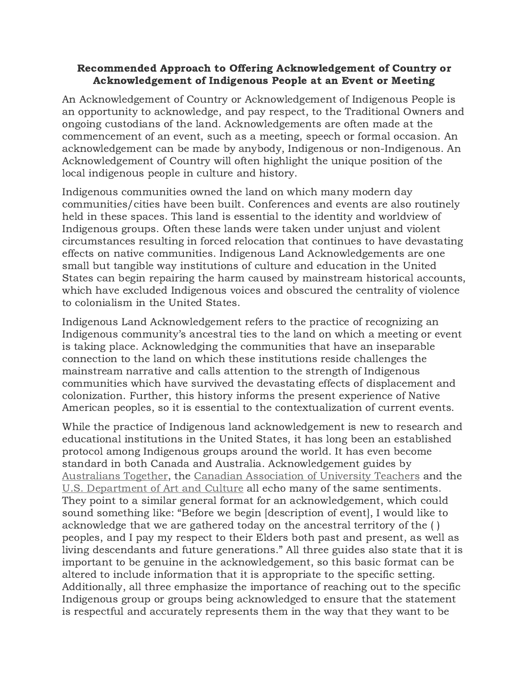## Recommended Approach to Offering Acknowledgement of Country or Acknowledgement of Indigenous People at an Event or Meeting

An Acknowledgement of Country or Acknowledgement of Indigenous People is an opportunity to acknowledge, and pay respect, to the Traditional Owners and ongoing custodians of the land. Acknowledgements are often made at the commencement of an event, such as a meeting, speech or formal occasion. An acknowledgement can be made by anybody, Indigenous or non-Indigenous. An Acknowledgement of Country will often highlight the unique position of the local indigenous people in culture and history.

Indigenous communities owned the land on which many modern day communities/cities have been built. Conferences and events are also routinely held in these spaces. This land is essential to the identity and worldview of Indigenous groups. Often these lands were taken under unjust and violent circumstances resulting in forced relocation that continues to have devastating effects on native communities. Indigenous Land Acknowledgements are one small but tangible way institutions of culture and education in the United States can begin repairing the harm caused by mainstream historical accounts, which have excluded Indigenous voices and obscured the centrality of violence to colonialism in the United States.

Indigenous Land Acknowledgement refers to the practice of recognizing an Indigenous community's ancestral ties to the land on which a meeting or event is taking place. Acknowledging the communities that have an inseparable connection to the land on which these institutions reside challenges the mainstream narrative and calls attention to the strength of Indigenous communities which have survived the devastating effects of displacement and colonization. Further, this history informs the present experience of Native American peoples, so it is essential to the contextualization of current events.

While the practice of Indigenous land acknowledgement is new to research and educational institutions in the United States, it has long been an established protocol among Indigenous groups around the world. It has even become standard in both Canada and Australia. Acknowledgement guides by [Australians Together](https://www.australianstogether.org.au/discover/indigenous-culture/understanding-welcome-to-country/), the [Canadian Association of University Teachers](https://www.caut.ca/content/guide-acknowledging-first-peoples-traditional-territory) and the [U.S. Department of Art and Culture](https://usdac.us/nativeland/) all echo many of the same sentiments. They point to a similar general format for an acknowledgement, which could sound something like: "Before we begin [description of event], I would like to acknowledge that we are gathered today on the ancestral territory of the ( ) peoples, and I pay my respect to their Elders both past and present, as well as living descendants and future generations." All three guides also state that it is important to be genuine in the acknowledgement, so this basic format can be altered to include information that it is appropriate to the specific setting. Additionally, all three emphasize the importance of reaching out to the specific Indigenous group or groups being acknowledged to ensure that the statement is respectful and accurately represents them in the way that they want to be